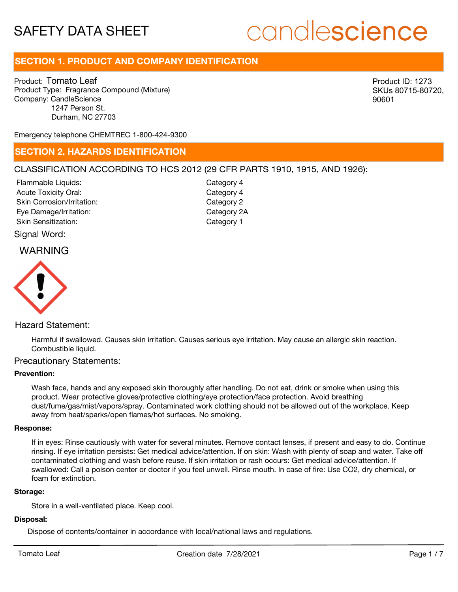# candlescience

## **SECTION 1. PRODUCT AND COMPANY IDENTIFICATION**

Product: Tomato Leaf Product Type: Fragrance Compound (Mixture) Company: CandleScience 1247 Person St. Durham, NC 27703

Product ID: 1273 SKUs 80715-80720, 90601

Emergency telephone CHEMTREC 1-800-424-9300

## **SECTION 2. HAZARDS IDENTIFICATION**

## CLASSIFICATION ACCORDING TO HCS 2012 (29 CFR PARTS 1910, 1915, AND 1926):

Acute Toxicity Oral: Skin Corrosion/Irritation: Eye Damage/Irritation: Skin Sensitization: Flammable Liquids:

Category 4 Category 2 Category 2A Category 1 Category 4

## Signal Word:

## WARNING



## Hazard Statement:

Harmful if swallowed. Causes skin irritation. Causes serious eye irritation. May cause an allergic skin reaction. Combustible liquid.

### Precautionary Statements:

#### **Prevention:**

Wash face, hands and any exposed skin thoroughly after handling. Do not eat, drink or smoke when using this product. Wear protective gloves/protective clothing/eye protection/face protection. Avoid breathing dust/fume/gas/mist/vapors/spray. Contaminated work clothing should not be allowed out of the workplace. Keep away from heat/sparks/open flames/hot surfaces. No smoking.

#### **Response:**

If in eyes: Rinse cautiously with water for several minutes. Remove contact lenses, if present and easy to do. Continue rinsing. If eye irritation persists: Get medical advice/attention. If on skin: Wash with plenty of soap and water. Take off contaminated clothing and wash before reuse. If skin irritation or rash occurs: Get medical advice/attention. If swallowed: Call a poison center or doctor if you feel unwell. Rinse mouth. In case of fire: Use CO2, dry chemical, or foam for extinction.

#### **Storage:**

Store in a well-ventilated place. Keep cool.

#### **Disposal:**

Dispose of contents/container in accordance with local/national laws and regulations.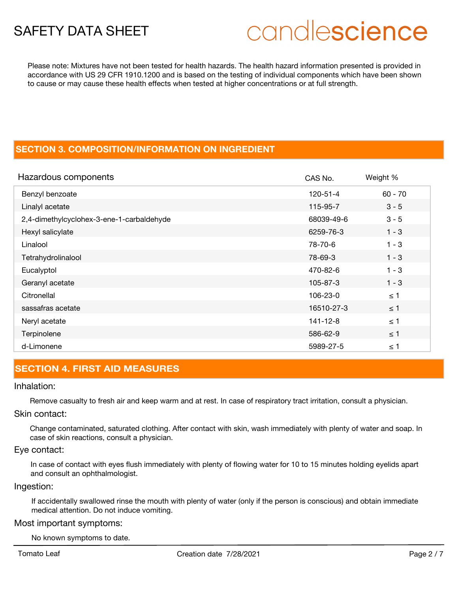# candlescience

Please note: Mixtures have not been tested for health hazards. The health hazard information presented is provided in accordance with US 29 CFR 1910.1200 and is based on the testing of individual components which have been shown to cause or may cause these health effects when tested at higher concentrations or at full strength.

## **SECTION 3. COMPOSITION/INFORMATION ON INGREDIENT**

| Hazardous components                      | CAS No.    | Weight %  |
|-------------------------------------------|------------|-----------|
| Benzyl benzoate                           | 120-51-4   | $60 - 70$ |
| Linalyl acetate                           | 115-95-7   | $3 - 5$   |
| 2,4-dimethylcyclohex-3-ene-1-carbaldehyde | 68039-49-6 | $3 - 5$   |
| Hexyl salicylate                          | 6259-76-3  | $1 - 3$   |
| Linalool                                  | 78-70-6    | $1 - 3$   |
| Tetrahydrolinalool                        | 78-69-3    | $1 - 3$   |
| Eucalyptol                                | 470-82-6   | $1 - 3$   |
| Geranyl acetate                           | 105-87-3   | $1 - 3$   |
| Citronellal                               | 106-23-0   | $\leq$ 1  |
| sassafras acetate                         | 16510-27-3 | $\leq$ 1  |
| Neryl acetate                             | 141-12-8   | $\leq$ 1  |
| Terpinolene                               | 586-62-9   | $\leq$ 1  |
| d-Limonene                                | 5989-27-5  | $\leq$ 1  |

## **SECTION 4. FIRST AID MEASURES**

## Inhalation:

Remove casualty to fresh air and keep warm and at rest. In case of respiratory tract irritation, consult a physician.

## Skin contact:

Change contaminated, saturated clothing. After contact with skin, wash immediately with plenty of water and soap. In case of skin reactions, consult a physician.

## Eye contact:

In case of contact with eyes flush immediately with plenty of flowing water for 10 to 15 minutes holding eyelids apart and consult an ophthalmologist.

## Ingestion:

If accidentally swallowed rinse the mouth with plenty of water (only if the person is conscious) and obtain immediate medical attention. Do not induce vomiting.

## Most important symptoms:

No known symptoms to date.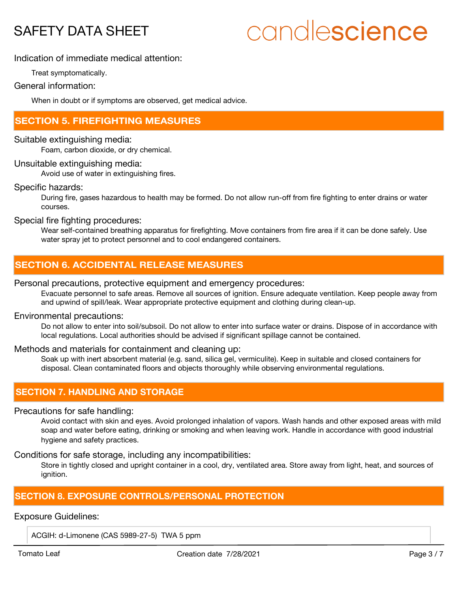# candlescience

Indication of immediate medical attention:

Treat symptomatically.

General information:

When in doubt or if symptoms are observed, get medical advice.

## **SECTION 5. FIREFIGHTING MEASURES**

Suitable extinguishing media:

Foam, carbon dioxide, or dry chemical.

## Unsuitable extinguishing media:

Avoid use of water in extinguishing fires.

Specific hazards:

During fire, gases hazardous to health may be formed. Do not allow run-off from fire fighting to enter drains or water courses.

Special fire fighting procedures:

Wear self-contained breathing apparatus for firefighting. Move containers from fire area if it can be done safely. Use water spray jet to protect personnel and to cool endangered containers.

## **SECTION 6. ACCIDENTAL RELEASE MEASURES**

## Personal precautions, protective equipment and emergency procedures:

Evacuate personnel to safe areas. Remove all sources of ignition. Ensure adequate ventilation. Keep people away from and upwind of spill/leak. Wear appropriate protective equipment and clothing during clean-up.

## Environmental precautions:

Do not allow to enter into soil/subsoil. Do not allow to enter into surface water or drains. Dispose of in accordance with local regulations. Local authorities should be advised if significant spillage cannot be contained.

## Methods and materials for containment and cleaning up:

Soak up with inert absorbent material (e.g. sand, silica gel, vermiculite). Keep in suitable and closed containers for disposal. Clean contaminated floors and objects thoroughly while observing environmental regulations.

## **SECTION 7. HANDLING AND STORAGE**

## Precautions for safe handling:

Avoid contact with skin and eyes. Avoid prolonged inhalation of vapors. Wash hands and other exposed areas with mild soap and water before eating, drinking or smoking and when leaving work. Handle in accordance with good industrial hygiene and safety practices.

Conditions for safe storage, including any incompatibilities:

Store in tightly closed and upright container in a cool, dry, ventilated area. Store away from light, heat, and sources of ignition.

## **SECTION 8. EXPOSURE CONTROLS/PERSONAL PROTECTION**

## Exposure Guidelines:

ACGIH: d-Limonene (CAS 5989-27-5) TWA 5 ppm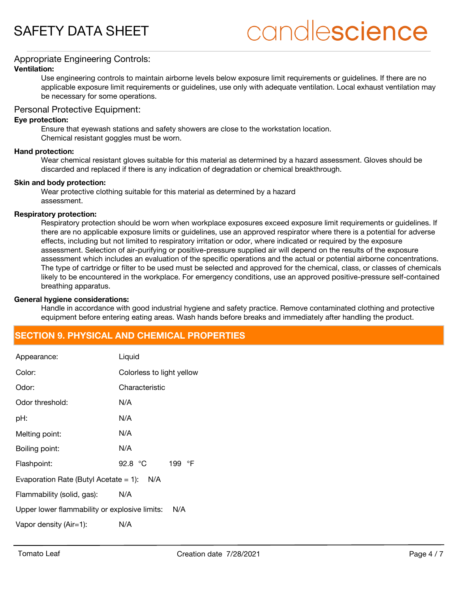# candlescience

## Appropriate Engineering Controls:

### **Ventilation:**

Use engineering controls to maintain airborne levels below exposure limit requirements or guidelines. If there are no applicable exposure limit requirements or guidelines, use only with adequate ventilation. Local exhaust ventilation may be necessary for some operations.

## Personal Protective Equipment:

#### **Eye protection:**

Ensure that eyewash stations and safety showers are close to the workstation location. Chemical resistant goggles must be worn.

#### **Hand protection:**

Wear chemical resistant gloves suitable for this material as determined by a hazard assessment. Gloves should be discarded and replaced if there is any indication of degradation or chemical breakthrough.

#### **Skin and body protection:**

Wear protective clothing suitable for this material as determined by a hazard assessment.

#### **Respiratory protection:**

Respiratory protection should be worn when workplace exposures exceed exposure limit requirements or guidelines. If there are no applicable exposure limits or guidelines, use an approved respirator where there is a potential for adverse effects, including but not limited to respiratory irritation or odor, where indicated or required by the exposure assessment. Selection of air-purifying or positive-pressure supplied air will depend on the results of the exposure assessment which includes an evaluation of the specific operations and the actual or potential airborne concentrations. The type of cartridge or filter to be used must be selected and approved for the chemical, class, or classes of chemicals likely to be encountered in the workplace. For emergency conditions, use an approved positive-pressure self-contained breathing apparatus.

#### **General hygiene considerations:**

Handle in accordance with good industrial hygiene and safety practice. Remove contaminated clothing and protective equipment before entering eating areas. Wash hands before breaks and immediately after handling the product.

## **SECTION 9. PHYSICAL AND CHEMICAL PROPERTIES**

| Appearance:                                     | Liquid                      |  |  |
|-------------------------------------------------|-----------------------------|--|--|
| Color:                                          | Colorless to light yellow   |  |  |
| Odor:                                           | Characteristic              |  |  |
| Odor threshold:                                 | N/A                         |  |  |
| pH:                                             | N/A                         |  |  |
| Melting point:                                  | N/A                         |  |  |
| Boiling point:                                  | N/A                         |  |  |
| Flashpoint:                                     | 92.8 $^{\circ}$ C<br>199 °F |  |  |
| Evaporation Rate (Butyl Acetate $= 1$ ):<br>N/A |                             |  |  |
| Flammability (solid, gas):                      | N/A                         |  |  |
| Upper lower flammability or explosive limits:   | N/A                         |  |  |
| Vapor density (Air=1):                          | N/A                         |  |  |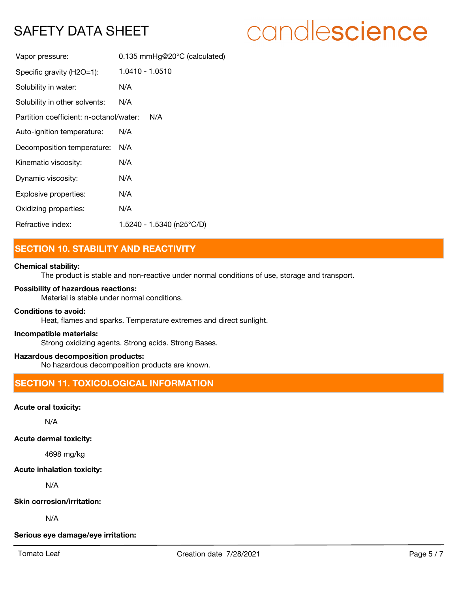# candlescience

| Vapor pressure:                         | 0.135 mmHg@20°C (calculated) |
|-----------------------------------------|------------------------------|
| Specific gravity (H2O=1):               | 1.0410 - 1.0510              |
| Solubility in water:                    | N/A                          |
| Solubility in other solvents:           | N/A                          |
| Partition coefficient: n-octanol/water: | N/A                          |
| Auto-ignition temperature:              | N/A                          |
| Decomposition temperature:              | N/A                          |
| Kinematic viscosity:                    | N/A                          |
| Dynamic viscosity:                      | N/A                          |
| Explosive properties:                   | N/A                          |
| Oxidizing properties:                   | N/A                          |
| Refractive index:                       | 1.5240 - 1.5340 (n25°C/D)    |

## **SECTION 10. STABILITY AND REACTIVITY**

## **Chemical stability:**

The product is stable and non-reactive under normal conditions of use, storage and transport.

## **Possibility of hazardous reactions:**

Material is stable under normal conditions.

### **Conditions to avoid:**

Heat, flames and sparks. Temperature extremes and direct sunlight.

#### **Incompatible materials:**

Strong oxidizing agents. Strong acids. Strong Bases.

## **Hazardous decomposition products:**

No hazardous decomposition products are known.

## **SECTION 11. TOXICOLOGICAL INFORMATION**

### **Acute oral toxicity:**

N/A

## **Acute dermal toxicity:**

4698 mg/kg

## **Acute inhalation toxicity:**

N/A

## **Skin corrosion/irritation:**

N/A

#### **Serious eye damage/eye irritation:**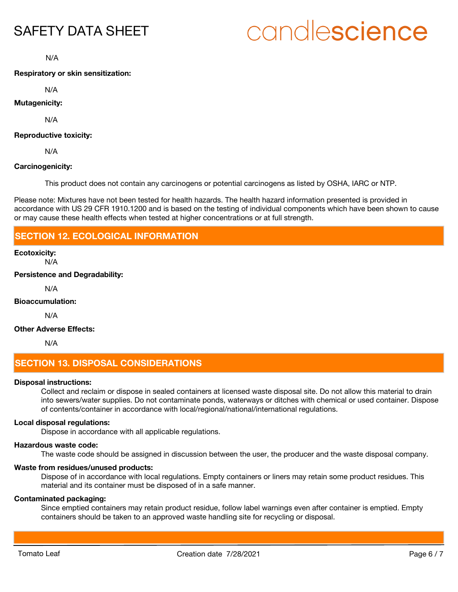# candlescience

N/A

### **Respiratory or skin sensitization:**

N/A

## **Mutagenicity:**

N/A

## **Reproductive toxicity:**

N/A

## **Carcinogenicity:**

This product does not contain any carcinogens or potential carcinogens as listed by OSHA, IARC or NTP.

Please note: Mixtures have not been tested for health hazards. The health hazard information presented is provided in accordance with US 29 CFR 1910.1200 and is based on the testing of individual components which have been shown to cause or may cause these health effects when tested at higher concentrations or at full strength.

## **SECTION 12. ECOLOGICAL INFORMATION**

## **Ecotoxicity:**

N/A

**Persistence and Degradability:**

N/A

#### **Bioaccumulation:**

N/A

## **Other Adverse Effects:**

N/A

## **SECTION 13. DISPOSAL CONSIDERATIONS**

#### **Disposal instructions:**

Collect and reclaim or dispose in sealed containers at licensed waste disposal site. Do not allow this material to drain into sewers/water supplies. Do not contaminate ponds, waterways or ditches with chemical or used container. Dispose of contents/container in accordance with local/regional/national/international regulations.

### **Local disposal regulations:**

Dispose in accordance with all applicable regulations.

#### **Hazardous waste code:**

The waste code should be assigned in discussion between the user, the producer and the waste disposal company.

#### **Waste from residues/unused products:**

Dispose of in accordance with local regulations. Empty containers or liners may retain some product residues. This material and its container must be disposed of in a safe manner.

#### **Contaminated packaging:**

Since emptied containers may retain product residue, follow label warnings even after container is emptied. Empty containers should be taken to an approved waste handling site for recycling or disposal.